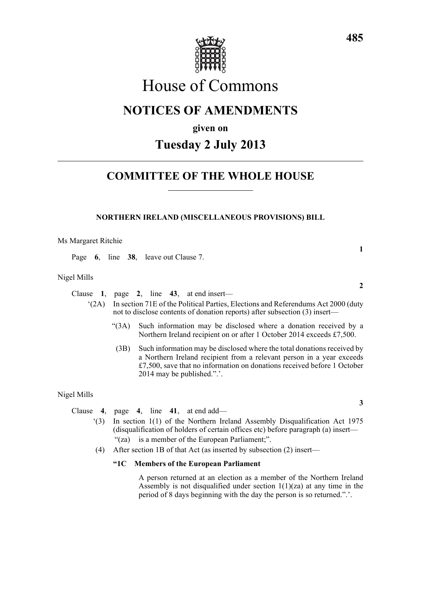

# House of Commons

## **NOTICES OF AMENDMENTS**

**given on**

# **Tuesday 2 July 2013**

### **COMMITTEE OF THE WHOLE HOUSE**

#### **NORTHERN IRELAND (MISCELLANEOUS PROVISIONS) BILL**

#### Ms Margaret Ritchie

Page **6**, line **38**, leave out Clause 7.

#### Nigel Mills

Clause **1**, page **2**, line **43**, at end insert—

- '(2A) In section 71E of the Political Parties, Elections and Referendums Act 2000 (duty not to disclose contents of donation reports) after subsection (3) insert—
	- "(3A) Such information may be disclosed where a donation received by a Northern Ireland recipient on or after 1 October 2014 exceeds £7,500.
	- (3B) Such information may be disclosed where the total donations received by a Northern Ireland recipient from a relevant person in a year exceeds £7,500, save that no information on donations received before 1 October 2014 may be published.".'.

#### Nigel Mills

Clause **4**, page **4**, line **41**, at end add—

- '(3) In section 1(1) of the Northern Ireland Assembly Disqualification Act 1975 (disqualification of holders of certain offices etc) before paragraph (a) insert— "(za) is a member of the European Parliament;".
- (4) After section 1B of that Act (as inserted by subsection (2) insert—

#### **"1C Members of the European Parliament**

A person returned at an election as a member of the Northern Ireland Assembly is not disqualified under section  $1(1)(za)$  at any time in the period of 8 days beginning with the day the person is so returned.".'.

**1**